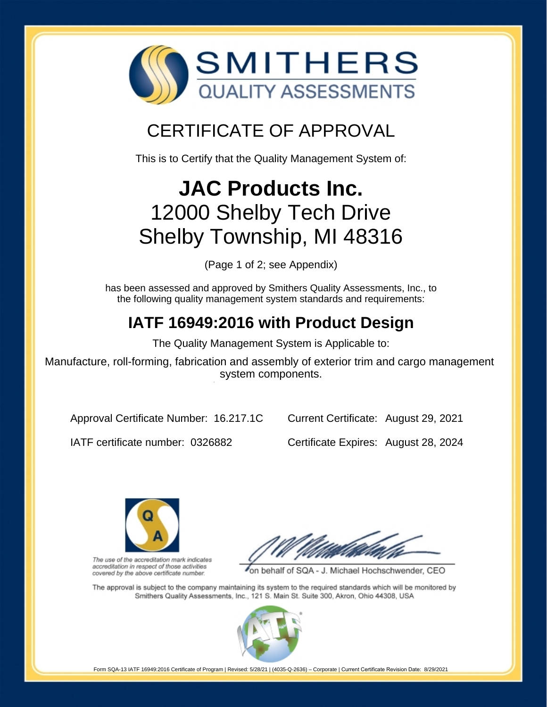

## CERTIFICATE OF APPROVAL

This is to Certify that the Quality Management System of:

# **JAC Products Inc.** 12000 Shelby Tech Drive Shelby Township, MI 48316

(Page 1 of 2; see Appendix)

has been assessed and approved by Smithers Quality Assessments, Inc., to the following quality management system standards and requirements:

## **IATF 16949:2016 with Product Design**

The Quality Management System is Applicable to:

Manufacture, roll-forming, fabrication and assembly of exterior trim and cargo management system components.

Approval Certificate Number: 16.217.1C

Current Certificate: August 29, 2021

IATF certificate number: 0326882

Certificate Expires: August 28, 2024



The use of the accreditation mark indicates accreditation in respect of those activities covered by the above certificate number.

on behalf of SQA - J. Michael Hochschwender, CEO

The approval is subject to the company maintaining its system to the required standards which will be monitored by Smithers Quality Assessments, Inc., 121 S. Main St. Suite 300, Akron, Ohio 44308, USA